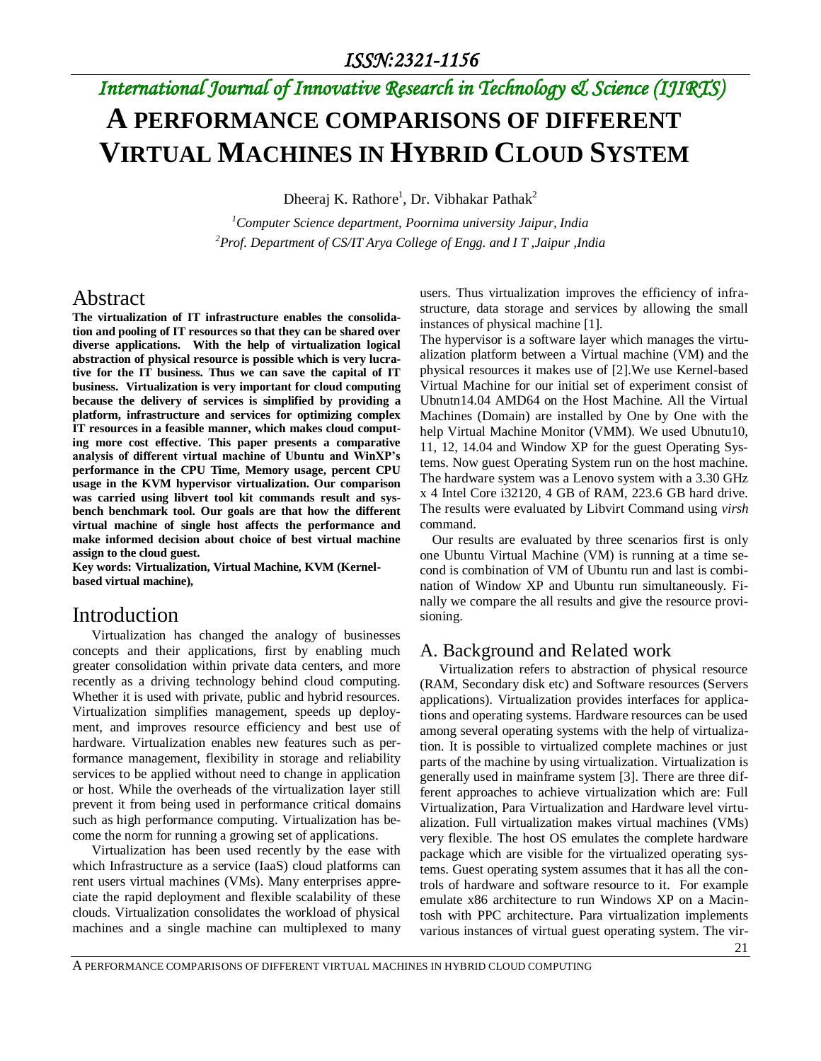# *International Journal of Innovative Research in Technology & Science (IJIRTS)* **A PERFORMANCE COMPARISONS OF DIFFERENT VIRTUAL MACHINES IN HYBRID CLOUD SYSTEM**

Dheeraj K. Rathore<sup>1</sup>, Dr. Vibhakar Pathak<sup>2</sup>

*<sup>1</sup>Computer Science department, Poornima university Jaipur, India <sup>2</sup>Prof. Department of CS/IT Arya College of Engg. and I T ,Jaipur ,India* 

## Abstract

**The virtualization of IT infrastructure enables the consolidation and pooling of IT resources so that they can be shared over diverse applications. With the help of virtualization logical abstraction of physical resource is possible which is very lucrative for the IT business. Thus we can save the capital of IT business. Virtualization is very important for cloud computing because the delivery of services is simplified by providing a platform, infrastructure and services for optimizing complex IT resources in a feasible manner, which makes cloud computing more cost effective. This paper presents a comparative analysis of different virtual machine of Ubuntu and WinXP's performance in the CPU Time, Memory usage, percent CPU usage in the KVM hypervisor virtualization. Our comparison was carried using libvert tool kit commands result and sysbench benchmark tool. Our goals are that how the different virtual machine of single host affects the performance and make informed decision about choice of best virtual machine assign to the cloud guest.** 

**Key words: Virtualization, Virtual Machine, KVM (Kernelbased virtual machine),** 

### Introduction

Virtualization has changed the analogy of businesses concepts and their applications, first by enabling much greater consolidation within private data centers, and more recently as a driving technology behind cloud computing. Whether it is used with private, public and hybrid resources. Virtualization simplifies management, speeds up deployment, and improves resource efficiency and best use of hardware. Virtualization enables new features such as performance management, flexibility in storage and reliability services to be applied without need to change in application or host. While the overheads of the virtualization layer still prevent it from being used in performance critical domains such as high performance computing. Virtualization has become the norm for running a growing set of applications.

Virtualization has been used recently by the ease with which Infrastructure as a service (IaaS) cloud platforms can rent users virtual machines (VMs). Many enterprises appreciate the rapid deployment and flexible scalability of these clouds. Virtualization consolidates the workload of physical machines and a single machine can multiplexed to many

users. Thus virtualization improves the efficiency of infrastructure, data storage and services by allowing the small instances of physical machine [1].

The hypervisor is a software layer which manages the virtualization platform between a Virtual machine (VM) and the physical resources it makes use of [2].We use Kernel-based Virtual Machine for our initial set of experiment consist of Ubnutn14.04 AMD64 on the Host Machine. All the Virtual Machines (Domain) are installed by One by One with the help Virtual Machine Monitor (VMM). We used Ubnutu10, 11, 12, 14.04 and Window XP for the guest Operating Systems. Now guest Operating System run on the host machine. The hardware system was a Lenovo system with a 3.30 GHz x 4 Intel Core i32120, 4 GB of RAM, 223.6 GB hard drive. The results were evaluated by Libvirt Command using *virsh* command.

Our results are evaluated by three scenarios first is only one Ubuntu Virtual Machine (VM) is running at a time second is combination of VM of Ubuntu run and last is combination of Window XP and Ubuntu run simultaneously. Finally we compare the all results and give the resource provisioning.

### A. Background and Related work

Virtualization refers to abstraction of physical resource (RAM, Secondary disk etc) and Software resources (Servers applications). Virtualization provides interfaces for applications and operating systems. Hardware resources can be used among several operating systems with the help of virtualization. It is possible to virtualized complete machines or just parts of the machine by using virtualization. Virtualization is generally used in mainframe system [3]. There are three different approaches to achieve virtualization which are: Full Virtualization, Para Virtualization and Hardware level virtualization. Full virtualization makes virtual machines (VMs) very flexible. The host OS emulates the complete hardware package which are visible for the virtualized operating systems. Guest operating system assumes that it has all the controls of hardware and software resource to it. For example emulate x86 architecture to run Windows XP on a Macintosh with PPC architecture. Para virtualization implements various instances of virtual guest operating system. The vir-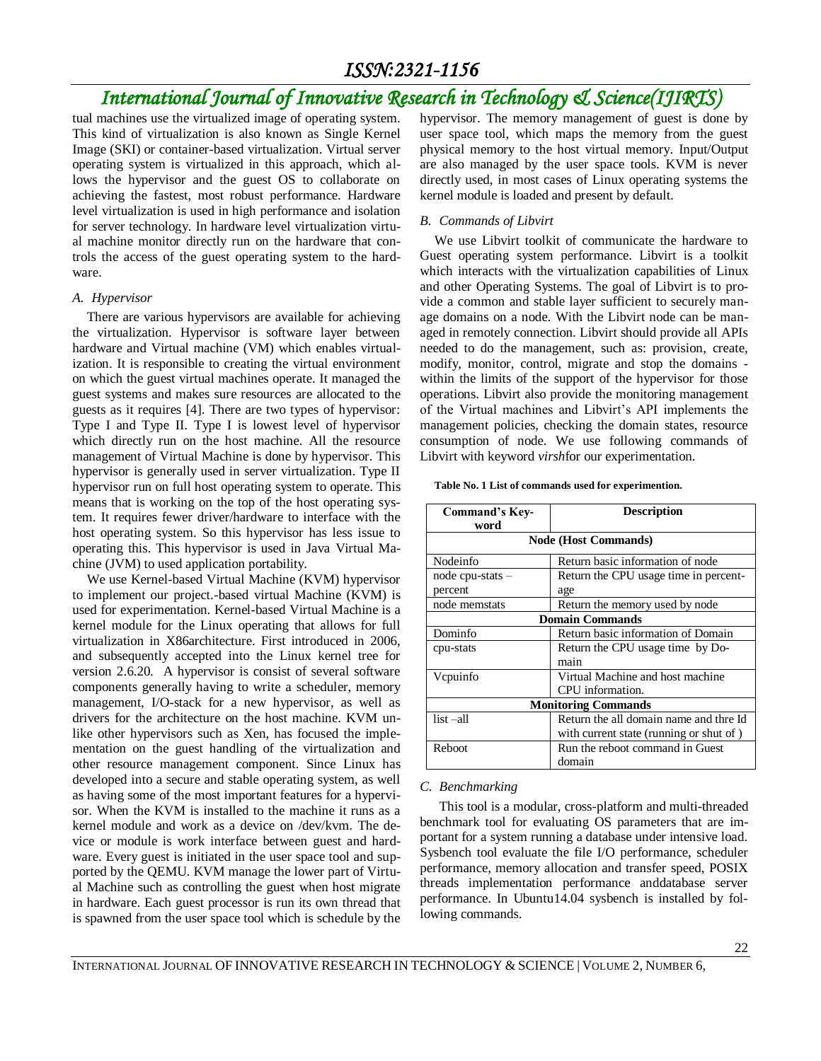## *International Journal of Innovative Research in Technology & Science(IJIRTS)*

tual machines use the virtualized image of operating system. This kind of virtualization is also known as Single Kernel Image (SKI) or container-based virtualization. Virtual server operating system is virtualized in this approach, which allows the hypervisor and the guest OS to collaborate on achieving the fastest, most robust performance. Hardware level virtualization is used in high performance and isolation for server technology. In hardware level virtualization virtual machine monitor directly run on the hardware that controls the access of the guest operating system to the hardware.

#### *A. Hypervisor*

There are various hypervisors are available for achieving the virtualization. Hypervisor is software layer between hardware and Virtual machine (VM) which enables virtualization. It is responsible to creating the virtual environment on which the guest virtual machines operate. It managed the guest systems and makes sure resources are allocated to the guests as it requires [4]. There are two types of hypervisor: Type I and Type II. Type I is lowest level of hypervisor which directly run on the host machine. All the resource management of Virtual Machine is done by hypervisor. This hypervisor is generally used in server virtualization. Type II hypervisor run on full host operating system to operate. This means that is working on the top of the host operating system. It requires fewer driver/hardware to interface with the host operating system. So this hypervisor has less issue to operating this. This hypervisor is used in Java Virtual Machine (JVM) to used application portability.

We use Kernel-based Virtual Machine (KVM) hypervisor to implement our project.-based virtual Machine (KVM) is used for experimentation. Kernel-based Virtual Machine is a kernel module for the Linux operating that allows for full virtualization in X86architecture. First introduced in 2006, and subsequently accepted into the Linux kernel tree for version 2.6.20. A hypervisor is consist of several software components generally having to write a scheduler, memory management, I/O-stack for a new hypervisor, as well as drivers for the architecture on the host machine. KVM unlike other hypervisors such as Xen, has focused the implementation on the guest handling of the virtualization and other resource management component. Since Linux has developed into a secure and stable operating system, as well as having some of the most important features for a hypervisor. When the KVM is installed to the machine it runs as a kernel module and work as a device on /dev/kvm. The device or module is work interface between guest and hardware. Every guest is initiated in the user space tool and supported by the QEMU. KVM manage the lower part of Virtual Machine such as controlling the guest when host migrate in hardware. Each guest processor is run its own thread that is spawned from the user space tool which is schedule by the hypervisor. The memory management of guest is done by user space tool, which maps the memory from the guest physical memory to the host virtual memory. Input/Output are also managed by the user space tools. KVM is never directly used, in most cases of Linux operating systems the kernel module is loaded and present by default.

#### *B. Commands of Libvirt*

We use Libvirt toolkit of communicate the hardware to Guest operating system performance. Libvirt is a toolkit which interacts with the virtualization capabilities of Linux and other Operating Systems. The goal of Libvirt is to provide a common and stable layer sufficient to securely manage domains on a node. With the Libvirt node can be managed in remotely connection. Libvirt should provide all APIs needed to do the management, such as: provision, create, modify, monitor, control, migrate and stop the domains within the limits of the support of the hypervisor for those operations. Libvirt also provide the monitoring management of the Virtual machines and Libvirt's API implements the management policies, checking the domain states, resource consumption of node. We use following commands of Libvirt with keyword *virsh*for our experimentation.

**Table No. 1 List of commands used for experimention.**

| <b>Command's Key-</b><br>word | <b>Description</b>                      |
|-------------------------------|-----------------------------------------|
| <b>Node (Host Commands)</b>   |                                         |
| Nodeinfo                      | Return basic information of node        |
| $node$ cpu-stats $-$          | Return the CPU usage time in percent-   |
| percent                       | age                                     |
| node memstats                 | Return the memory used by node          |
| <b>Domain Commands</b>        |                                         |
| Dominfo                       | Return basic information of Domain      |
| cpu-stats                     | Return the CPU usage time by Do-        |
|                               | main                                    |
| Vcpuinfo                      | Virtual Machine and host machine        |
|                               | CPU information.                        |
| <b>Monitoring Commands</b>    |                                         |
| $list - all$                  | Return the all domain name and thre Id  |
|                               | with current state (running or shut of) |
| Reboot                        | Run the reboot command in Guest         |
|                               | domain                                  |

### *C. Benchmarking*

This tool is a modular, cross-platform and multi-threaded benchmark tool for evaluating OS parameters that are important for a system running a database under intensive load. Sysbench tool evaluate the file I/O performance, scheduler performance, memory allocation and transfer speed, POSIX threads implementation performance anddatabase server performance. In Ubuntu14.04 sysbench is installed by following commands.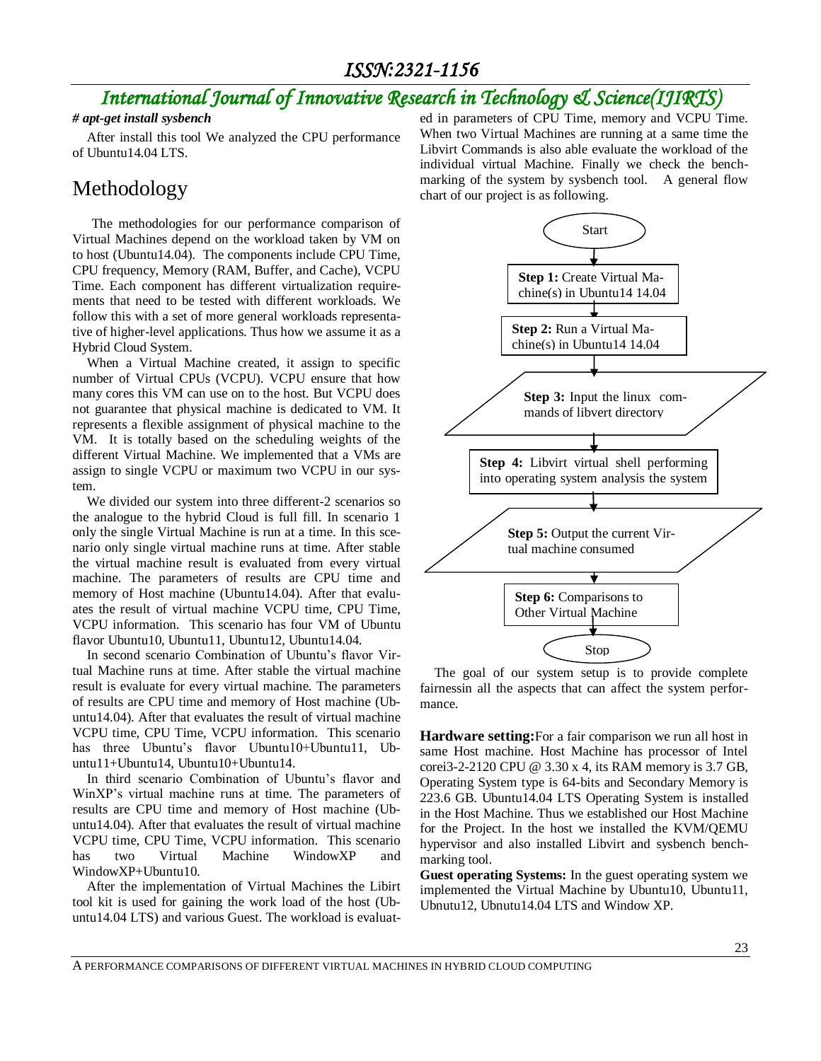## *International Journal of Innovative Research in Technology & Science(IJIRTS)*

### *# apt-get install sysbench*

After install this tool We analyzed the CPU performance of Ubuntu14.04 LTS.

## Methodology

The methodologies for our performance comparison of Virtual Machines depend on the workload taken by VM on to host (Ubuntu14.04). The components include CPU Time, CPU frequency, Memory (RAM, Buffer, and Cache), VCPU Time. Each component has different virtualization requirements that need to be tested with different workloads. We follow this with a set of more general workloads representative of higher-level applications. Thus how we assume it as a Hybrid Cloud System.

When a Virtual Machine created, it assign to specific number of Virtual CPUs (VCPU). VCPU ensure that how many cores this VM can use on to the host. But VCPU does not guarantee that physical machine is dedicated to VM. It represents a flexible assignment of physical machine to the VM. It is totally based on the scheduling weights of the different Virtual Machine. We implemented that a VMs are assign to single VCPU or maximum two VCPU in our system.

We divided our system into three different-2 scenarios so the analogue to the hybrid Cloud is full fill. In scenario 1 only the single Virtual Machine is run at a time. In this scenario only single virtual machine runs at time. After stable the virtual machine result is evaluated from every virtual machine. The parameters of results are CPU time and memory of Host machine (Ubuntu14.04). After that evaluates the result of virtual machine VCPU time, CPU Time, VCPU information. This scenario has four VM of Ubuntu flavor Ubuntu10, Ubuntu11, Ubuntu12, Ubuntu14.04.

In second scenario Combination of Ubuntu's flavor Virtual Machine runs at time. After stable the virtual machine result is evaluate for every virtual machine. The parameters of results are CPU time and memory of Host machine (Ubuntu14.04). After that evaluates the result of virtual machine VCPU time, CPU Time, VCPU information. This scenario has three Ubuntu's flavor Ubuntu10+Ubuntu11, Ubuntu11+Ubuntu14, Ubuntu10+Ubuntu14.

In third scenario Combination of Ubuntu's flavor and WinXP's virtual machine runs at time. The parameters of results are CPU time and memory of Host machine (Ubuntu14.04). After that evaluates the result of virtual machine VCPU time, CPU Time, VCPU information. This scenario has two Virtual Machine WindowXP and WindowXP+Ubuntu10.

After the implementation of Virtual Machines the Libirt tool kit is used for gaining the work load of the host (Ubuntu14.04 LTS) and various Guest. The workload is evaluated in parameters of CPU Time, memory and VCPU Time. When two Virtual Machines are running at a same time the Libvirt Commands is also able evaluate the workload of the individual virtual Machine. Finally we check the benchmarking of the system by sysbench tool. A general flow chart of our project is as following.



The goal of our system setup is to provide complete fairnessin all the aspects that can affect the system performance.

**Hardware setting:**For a fair comparison we run all host in same Host machine. Host Machine has processor of Intel corei3-2-2120 CPU @ 3.30 x 4, its RAM memory is 3.7 GB, Operating System type is 64-bits and Secondary Memory is 223.6 GB. Ubuntu14.04 LTS Operating System is installed in the Host Machine. Thus we established our Host Machine for the Project. In the host we installed the KVM/QEMU hypervisor and also installed Libvirt and sysbench benchmarking tool.

**Guest operating Systems:** In the guest operating system we implemented the Virtual Machine by Ubuntu10, Ubuntu11, Ubnutu12, Ubnutu14.04 LTS and Window XP.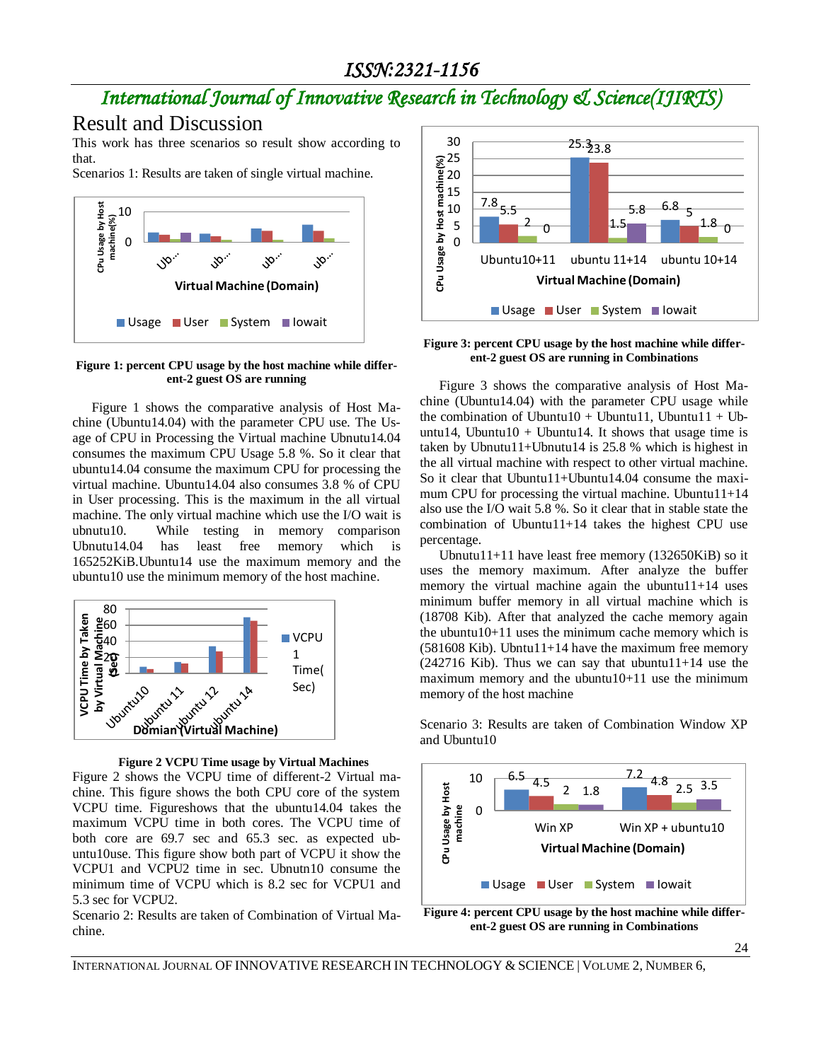## *International Journal of Innovative Research in Technology & Science(IJIRTS)*

## Result and Discussion

This work has three scenarios so result show according to that.

Scenarios 1: Results are taken of single virtual machine.



**Figure 1: percent CPU usage by the host machine while different-2 guest OS are running**

Figure 1 shows the comparative analysis of Host Machine (Ubuntu14.04) with the parameter CPU use. The Usage of CPU in Processing the Virtual machine Ubnutu14.04 consumes the maximum CPU Usage 5.8 %. So it clear that ubuntu14.04 consume the maximum CPU for processing the virtual machine. Ubuntu14.04 also consumes 3.8 % of CPU in User processing. This is the maximum in the all virtual machine. The only virtual machine which use the I/O wait is ubnutu10. While testing in memory comparison Ubnutu14.04 has least free memory which is 165252KiB.Ubuntu14 use the maximum memory and the ubuntu10 use the minimum memory of the host machine.



**Figure 2 VCPU Time usage by Virtual Machines**

Figure 2 shows the VCPU time of different-2 Virtual machine. This figure shows the both CPU core of the system VCPU time. Figureshows that the ubuntu14.04 takes the maximum VCPU time in both cores. The VCPU time of both core are 69.7 sec and 65.3 sec. as expected ubuntu10use. This figure show both part of VCPU it show the VCPU1 and VCPU2 time in sec. Ubnutn10 consume the minimum time of VCPU which is 8.2 sec for VCPU1 and 5.3 sec for VCPU2.

Scenario 2: Results are taken of Combination of Virtual Machine.



**Figure 3: percent CPU usage by the host machine while different-2 guest OS are running in Combinations**

Figure 3 shows the comparative analysis of Host Machine (Ubuntu14.04) with the parameter CPU usage while the combination of Ubuntu10 + Ubuntu11, Ubuntu11 + Ubuntu14, Ubuntu10 + Ubuntu14. It shows that usage time is taken by Ubnutu11+Ubnutu14 is 25.8 % which is highest in the all virtual machine with respect to other virtual machine. So it clear that Ubuntu11+Ubuntu14.04 consume the maximum CPU for processing the virtual machine. Ubuntu11+14 also use the I/O wait 5.8 %. So it clear that in stable state the combination of Ubuntu11+14 takes the highest CPU use percentage.

Ubnutu11+11 have least free memory (132650KiB) so it uses the memory maximum. After analyze the buffer memory the virtual machine again the ubuntu $11+14$  uses minimum buffer memory in all virtual machine which is (18708 Kib). After that analyzed the cache memory again the ubuntu $10+11$  uses the minimum cache memory which is  $(581608$  Kib). Ubntu11+14 have the maximum free memory  $(242716$  Kib). Thus we can say that ubuntu11+14 use the maximum memory and the ubuntu10+11 use the minimum memory of the host machine

Scenario 3: Results are taken of Combination Window XP and Ubuntu10



**Figure 4: percent CPU usage by the host machine while different-2 guest OS are running in Combinations**

INTERNATIONAL JOURNAL OF INNOVATIVE RESEARCH IN TECHNOLOGY & SCIENCE | VOLUME 2, NUMBER 6,